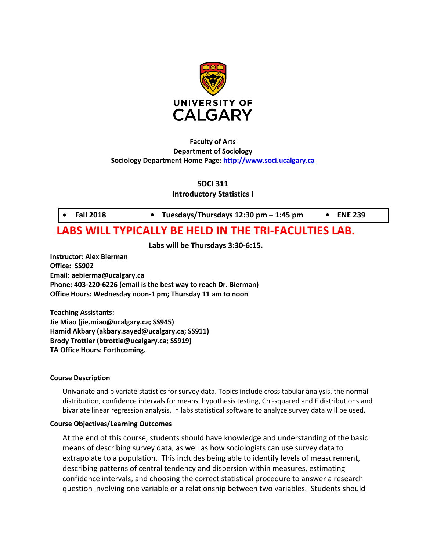

## **Faculty of Arts Department of Sociology Sociology Department Home Page: [http://www.soci.ucalgary.ca](http://www.soci.ucalgary.ca/)**

**SOCI 311**

**Introductory Statistics I**

• **Fall 2018 • Tuesdays/Thursdays 12:30 pm – 1:45 pm • ENE 239**

# **LABS WILL TYPICALLY BE HELD IN THE TRI-FACULTIES LAB.**

**Labs will be Thursdays 3:30-6:15.**

**Instructor: Alex Bierman Office: SS902 Email: aebierma@ucalgary.ca Phone: 403-220-6226 (email is the best way to reach Dr. Bierman) Office Hours: Wednesday noon-1 pm; Thursday 11 am to noon**

**Teaching Assistants: Jie Miao (jie.miao@ucalgary.ca; SS945) Hamid Akbary (akbary.sayed@ucalgary.ca; SS911) Brody Trottier (btrottie@ucalgary.ca; SS919) TA Office Hours: Forthcoming.**

## **Course Description**

Univariate and bivariate statistics for survey data. Topics include cross tabular analysis, the normal distribution, confidence intervals for means, hypothesis testing, Chi-squared and F distributions and bivariate linear regression analysis. In labs statistical software to analyze survey data will be used.

## **Course Objectives/Learning Outcomes**

At the end of this course, students should have knowledge and understanding of the basic means of describing survey data, as well as how sociologists can use survey data to extrapolate to a population. This includes being able to identify levels of measurement, describing patterns of central tendency and dispersion within measures, estimating confidence intervals, and choosing the correct statistical procedure to answer a research question involving one variable or a relationship between two variables. Students should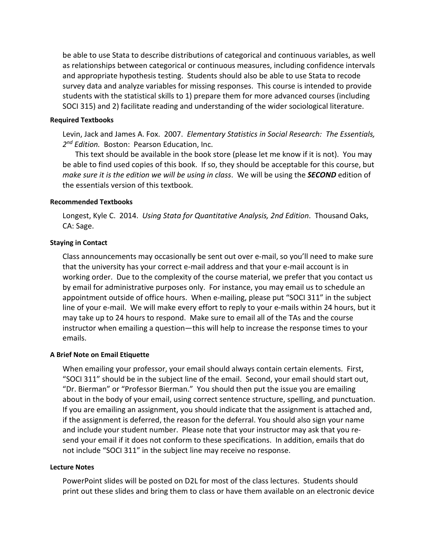be able to use Stata to describe distributions of categorical and continuous variables, as well as relationships between categorical or continuous measures, including confidence intervals and appropriate hypothesis testing. Students should also be able to use Stata to recode survey data and analyze variables for missing responses. This course is intended to provide students with the statistical skills to 1) prepare them for more advanced courses (including SOCI 315) and 2) facilitate reading and understanding of the wider sociological literature.

## **Required Textbooks**

Levin, Jack and James A. Fox. 2007. *Elementary Statistics in Social Research: The Essentials, 2nd Edition.* Boston: Pearson Education, Inc.

This text should be available in the book store (please let me know if it is not). You may be able to find used copies of this book. If so, they should be acceptable for this course, but *make sure it is the edition we will be using in class*. We will be using the *SECOND* edition of the essentials version of this textbook.

#### **Recommended Textbooks**

Longest, Kyle C. 2014. *Using Stata for Quantitative Analysis, 2nd Edition*. Thousand Oaks, CA: Sage.

## **Staying in Contact**

Class announcements may occasionally be sent out over e-mail, so you'll need to make sure that the university has your correct e-mail address and that your e-mail account is in working order. Due to the complexity of the course material, we prefer that you contact us by email for administrative purposes only. For instance, you may email us to schedule an appointment outside of office hours. When e-mailing, please put "SOCI 311" in the subject line of your e-mail. We will make every effort to reply to your e-mails within 24 hours, but it may take up to 24 hours to respond. Make sure to email all of the TAs and the course instructor when emailing a question—this will help to increase the response times to your emails.

## **A Brief Note on Email Etiquette**

When emailing your professor, your email should always contain certain elements. First, "SOCI 311" should be in the subject line of the email. Second, your email should start out, "Dr. Bierman" or "Professor Bierman." You should then put the issue you are emailing about in the body of your email, using correct sentence structure, spelling, and punctuation. If you are emailing an assignment, you should indicate that the assignment is attached and, if the assignment is deferred, the reason for the deferral. You should also sign your name and include your student number. Please note that your instructor may ask that you resend your email if it does not conform to these specifications. In addition, emails that do not include "SOCI 311" in the subject line may receive no response.

#### **Lecture Notes**

PowerPoint slides will be posted on D2L for most of the class lectures. Students should print out these slides and bring them to class or have them available on an electronic device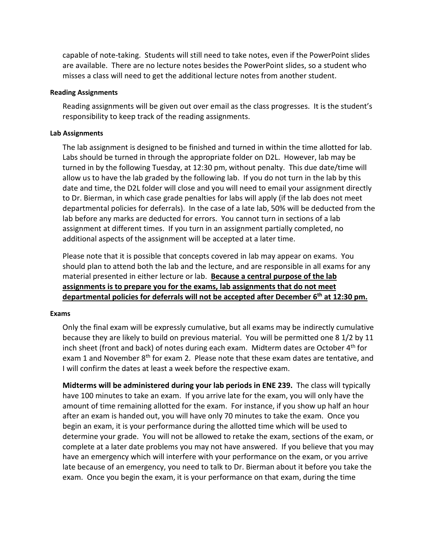capable of note-taking. Students will still need to take notes, even if the PowerPoint slides are available. There are no lecture notes besides the PowerPoint slides, so a student who misses a class will need to get the additional lecture notes from another student.

## **Reading Assignments**

Reading assignments will be given out over email as the class progresses. It is the student's responsibility to keep track of the reading assignments.

#### **Lab Assignments**

The lab assignment is designed to be finished and turned in within the time allotted for lab. Labs should be turned in through the appropriate folder on D2L. However, lab may be turned in by the following Tuesday, at 12:30 pm, without penalty. This due date/time will allow us to have the lab graded by the following lab. If you do not turn in the lab by this date and time, the D2L folder will close and you will need to email your assignment directly to Dr. Bierman, in which case grade penalties for labs will apply (if the lab does not meet departmental policies for deferrals). In the case of a late lab, 50% will be deducted from the lab before any marks are deducted for errors. You cannot turn in sections of a lab assignment at different times. If you turn in an assignment partially completed, no additional aspects of the assignment will be accepted at a later time.

Please note that it is possible that concepts covered in lab may appear on exams. You should plan to attend both the lab and the lecture, and are responsible in all exams for any material presented in either lecture or lab. **Because a central purpose of the lab assignments is to prepare you for the exams, lab assignments that do not meet departmental policies for deferrals will not be accepted after December 6th at 12:30 pm.**

#### **Exams**

Only the final exam will be expressly cumulative, but all exams may be indirectly cumulative because they are likely to build on previous material. You will be permitted one 8 1/2 by 11 inch sheet (front and back) of notes during each exam. Midterm dates are October  $4<sup>th</sup>$  for exam 1 and November 8<sup>th</sup> for exam 2. Please note that these exam dates are tentative, and I will confirm the dates at least a week before the respective exam.

**Midterms will be administered during your lab periods in ENE 239.** The class will typically have 100 minutes to take an exam. If you arrive late for the exam, you will only have the amount of time remaining allotted for the exam. For instance, if you show up half an hour after an exam is handed out, you will have only 70 minutes to take the exam. Once you begin an exam, it is your performance during the allotted time which will be used to determine your grade. You will not be allowed to retake the exam, sections of the exam, or complete at a later date problems you may not have answered. If you believe that you may have an emergency which will interfere with your performance on the exam, or you arrive late because of an emergency, you need to talk to Dr. Bierman about it before you take the exam. Once you begin the exam, it is your performance on that exam, during the time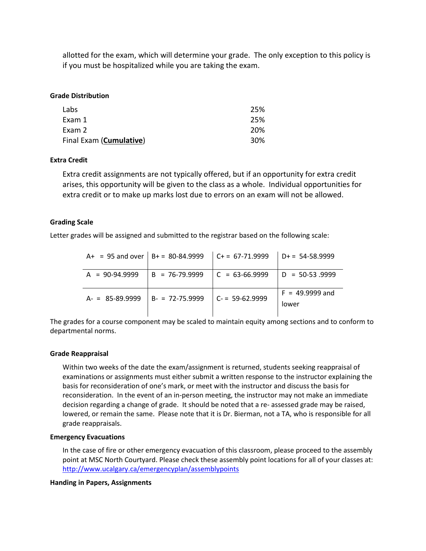allotted for the exam, which will determine your grade. The only exception to this policy is if you must be hospitalized while you are taking the exam.

#### **Grade Distribution**

| Labs                    | 25% |
|-------------------------|-----|
| Exam 1                  | 25% |
| Exam 2                  | 20% |
| Final Exam (Cumulative) | 30% |

#### **Extra Credit**

Extra credit assignments are not typically offered, but if an opportunity for extra credit arises, this opportunity will be given to the class as a whole. Individual opportunities for extra credit or to make up marks lost due to errors on an exam will not be allowed.

#### **Grading Scale**

Letter grades will be assigned and submitted to the registrar based on the following scale:

|                  |                    | A+ = 95 and over   B+ = 80-84.9999   C+ = 67-71.9999   D+ = 54-58.9999 |                            |
|------------------|--------------------|------------------------------------------------------------------------|----------------------------|
| $A = 90-94.9999$ | $B = 76-79.9999$   | $\vert$ C = 63-66.9999                                                 | $  D = 50-53.9999$         |
| $A = 85-89.9999$ | $B - 72 - 75.9999$ | $C = 59-62.9999$                                                       | $F = 49.9999$ and<br>lower |

The grades for a course component may be scaled to maintain equity among sections and to conform to departmental norms.

#### **Grade Reappraisal**

Within two weeks of the date the exam/assignment is returned, students seeking reappraisal of examinations or assignments must either submit a written response to the instructor explaining the basis for reconsideration of one's mark, or meet with the instructor and discuss the basis for reconsideration. In the event of an in-person meeting, the instructor may not make an immediate decision regarding a change of grade. It should be noted that a re- assessed grade may be raised, lowered, or remain the same. Please note that it is Dr. Bierman, not a TA, who is responsible for all grade reappraisals.

#### **Emergency Evacuations**

In the case of fire or other emergency evacuation of this classroom, please proceed to the assembly point at MSC North Courtyard. Please check these assembly point locations for all of your classes at: <http://www.ucalgary.ca/emergencyplan/assemblypoints>

#### **Handing in Papers, Assignments**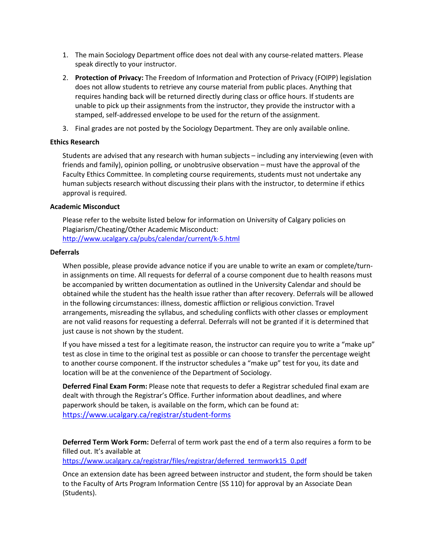- 1. The main Sociology Department office does not deal with any course-related matters. Please speak directly to your instructor.
- 2. **Protection of Privacy:** The Freedom of Information and Protection of Privacy (FOIPP) legislation does not allow students to retrieve any course material from public places. Anything that requires handing back will be returned directly during class or office hours. If students are unable to pick up their assignments from the instructor, they provide the instructor with a stamped, self-addressed envelope to be used for the return of the assignment.
- 3. Final grades are not posted by the Sociology Department. They are only available online.

## **Ethics Research**

Students are advised that any research with human subjects – including any interviewing (even with friends and family), opinion polling, or unobtrusive observation – must have the approval of the Faculty Ethics Committee. In completing course requirements, students must not undertake any human subjects research without discussing their plans with the instructor, to determine if ethics approval is required.

## **Academic Misconduct**

Please refer to the website listed below for information on University of Calgary policies on Plagiarism/Cheating/Other Academic Misconduct: <http://www.ucalgary.ca/pubs/calendar/current/k-5.html>

#### **Deferrals**

When possible, please provide advance notice if you are unable to write an exam or complete/turnin assignments on time. All requests for deferral of a course component due to health reasons must be accompanied by written documentation as outlined in the University Calendar and should be obtained while the student has the health issue rather than after recovery. Deferrals will be allowed in the following circumstances: illness, domestic affliction or religious conviction. Travel arrangements, misreading the syllabus, and scheduling conflicts with other classes or employment are not valid reasons for requesting a deferral. Deferrals will not be granted if it is determined that just cause is not shown by the student.

If you have missed a test for a legitimate reason, the instructor can require you to write a "make up" test as close in time to the original test as possible or can choose to transfer the percentage weight to another course component. If the instructor schedules a "make up" test for you, its date and location will be at the convenience of the Department of Sociology.

**Deferred Final Exam Form:** Please note that requests to defer a Registrar scheduled final exam are dealt with through the Registrar's Office. Further information about deadlines, and where paperwork should be taken, is available on the form, which can be found at: <https://www.ucalgary.ca/registrar/student-forms>

**Deferred Term Work Form:** Deferral of term work past the end of a term also requires a form to be filled out. It's available at

[https://www.ucalgary.ca/registrar/files/registrar/deferred\\_termwork15\\_0.pdf](https://www.ucalgary.ca/registrar/files/registrar/deferred_termwork15_0.pdf) 

Once an extension date has been agreed between instructor and student, the form should be taken to the Faculty of Arts Program Information Centre (SS 110) for approval by an Associate Dean (Students).